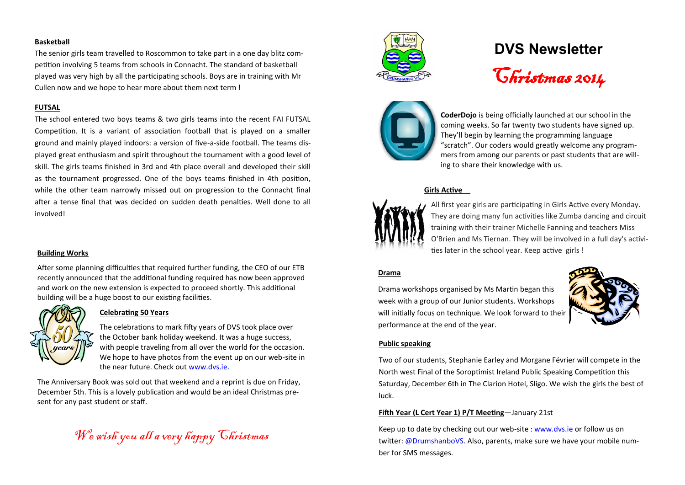### **Basketball**

The senior girls team travelled to Roscommon to take part in a one day blitz competition involving 5 teams from schools in Connacht. The standard of basketball played was very high by all the participating schools. Boys are in training with Mr Cullen now and we hope to hear more about them next term !

### **FUTSAL**

The school entered two boys teams & two girls teams into the recent FAI FUTSAL Competition. It is a variant of association football that is played on a smaller ground and mainly played indoors: a version of five-a-side football. The teams displayed great enthusiasm and spirit throughout the tournament with a good level of skill. The girls teams finished in 3rd and 4th place overall and developed their skill as the tournament progressed. One of the boys teams finished in 4th position, while the other team narrowly missed out on progression to the Connacht final after a tense final that was decided on sudden death penalties. Well done to all involved!

# **Building Works**

After some planning difficulties that required further funding, the CEO of our ETB recently announced that the additional funding required has now been approved and work on the new extension is expected to proceed shortly. This additional building will be a huge boost to our existing facilities.



# **Celebrating 50 Years**

The celebrations to mark fifty years of DVS took place over the October bank holiday weekend. It was a huge success, with people traveling from all over the world for the occasion. We hope to have photos from the event up on our web-site in the near future. Check out www.dvs.ie.

The Anniversary Book was sold out that weekend and a reprint is due on Friday, December 5th. This is a lovely publication and would be an ideal Christmas present for any past student or staff.

We wish you all a very happy Christmas



# **DVS Newsletter**

Christmas 2014



**CoderDojo** is being officially launched at our school in the coming weeks. So far twenty two students have signed up. They'll begin by learning the programming language "scratch". Our coders would greatly welcome any programmers from among our parents or past students that are willing to share their knowledge with us.

# **Girls Active**



All first year girls are participating in Girls Active every Monday. They are doing many fun activities like Zumba dancing and circuit training with their trainer Michelle Fanning and teachers Miss O'Brien and Ms Tiernan. They will be involved in a full day's activities later in the school year. Keep active girls !

### **Drama**

Drama workshops organised by Ms Martin began this week with a group of our Junior students. Workshops will initially focus on technique. We look forward to their performance at the end of the year.



# **Public speaking**

Two of our students, Stephanie Earley and Morgane Février will compete in the North west Final of the Soroptimist Ireland Public Speaking Competition this Saturday, December 6th in The Clarion Hotel, Sligo. We wish the girls the best of luck.

# **Fifth Year (L Cert Year 1) P/T Meeting**—January 21st

Keep up to date by checking out our web-site : www.dvs.ie or follow us on twitter: @DrumshanboVS. Also, parents, make sure we have your mobile number for SMS messages.